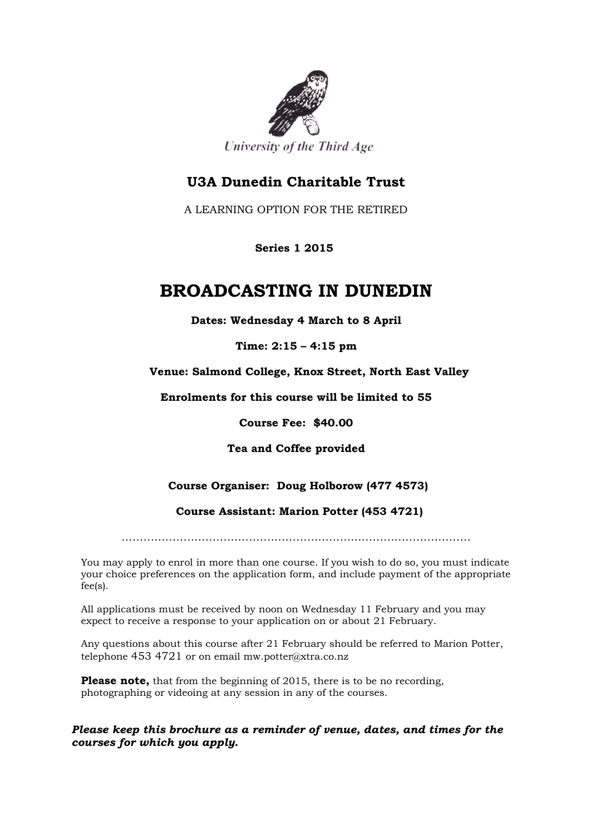

University of the Third Age

## **U3A Dunedin Charitable Trust**

A LEARNING OPTION FOR THE RETIRED

 **Series 1 2015**

# **BROADCASTING IN DUNEDIN**

**Dates: Wednesday 4 March to 8 April**

**Time: 2:15 – 4:15 pm**

**Venue: Salmond College, Knox Street, North East Valley**

**Enrolments for this course will be limited to 55**

**Course Fee: \$40.00**

**Tea and Coffee provided**

## **Course Organiser: Doug Holborow (477 4573)**

 **Course Assistant: Marion Potter (453 4721)**

……………………………………………………………………………………

You may apply to enrol in more than one course. If you wish to do so, you must indicate your choice preferences on the application form, and include payment of the appropriate fee(s).

All applications must be received by noon on Wednesday 11 February and you may expect to receive a response to your application on or about 21 February.

Any questions about this course after 21 February should be referred to Marion Potter, telephone 453 4721 or on email mw.potter@xtra.co.nz

**Please note,** that from the beginning of 2015, there is to be no recording, photographing or videoing at any session in any of the courses.

*Please keep this brochure as a reminder of venue, dates, and times for the courses for which you apply.*